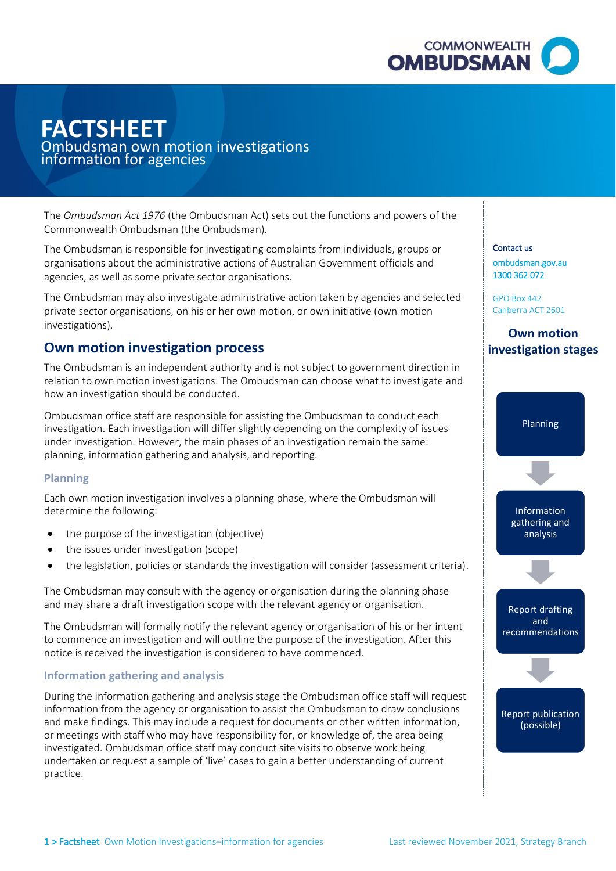

# **FACTSHEET**

## – Ombudsman own motion investigations information for agencies

 The *Ombudsman Act 1976* (the Ombudsman Act) sets out the functions and powers of the Commonwealth Ombudsman (the Ombudsman).

 organisations about the administrative actions of Australian Government officials and The Ombudsman is responsible for investigating complaints from individuals, groups or agencies, as well as some private sector organisations.

The Ombudsman may also investigate administrative action taken by agencies and selected private sector organisations, on his or her own motion, or own initiative (own motion investigations).

# **Own motion investigation process**

how an investigation should be conducted. The Ombudsman is an independent authority and is not subject to government direction in relation to own motion investigations. The Ombudsman can choose what to investigate and

Ombudsman office staff are responsible for assisting the Ombudsman to conduct each investigation. Each investigation will differ slightly depending on the complexity of issues under investigation. However, the main phases of an investigation remain the same: planning, information gathering and analysis, and reporting.

## **Planning**

Each own motion investigation involves a planning phase, where the Ombudsman will determine the following:

- the purpose of the investigation (objective)
- the issues under investigation (scope)
- the legislation, policies or standards the investigation will consider (assessment criteria).

The Ombudsman may consult with the agency or organisation during the planning phase and may share a draft investigation scope with the relevant agency or organisation.

The Ombudsman will formally notify the relevant agency or organisation of his or her intent to commence an investigation and will outline the purpose of the investigation. After this notice is received the investigation is considered to have commenced.

## **Information gathering and analysis**

 and make findings. This may include a request for documents or other written information, or meetings with staff who may have responsibility for, or knowledge of, the area being investigated. Ombudsman office staff may conduct site visits to observe work being practice. During the information gathering and analysis stage the Ombudsman office staff will request information from the agency or organisation to assist the Ombudsman to draw conclusions undertaken or request a sample of 'live' cases to gain a better understanding of current The Ombudsman is responsible for investigation complains from individuals, groups or<br>
contact us a well as some private action of Australian Government officials and<br>
agenciae, as well as some private action organisations.

[ombudsman.gov.au](http://www.ombudsman.gov.au/)  1300 362 072

GPO Box 442 Canberra ACT 2601

**Own motion investigation stages**